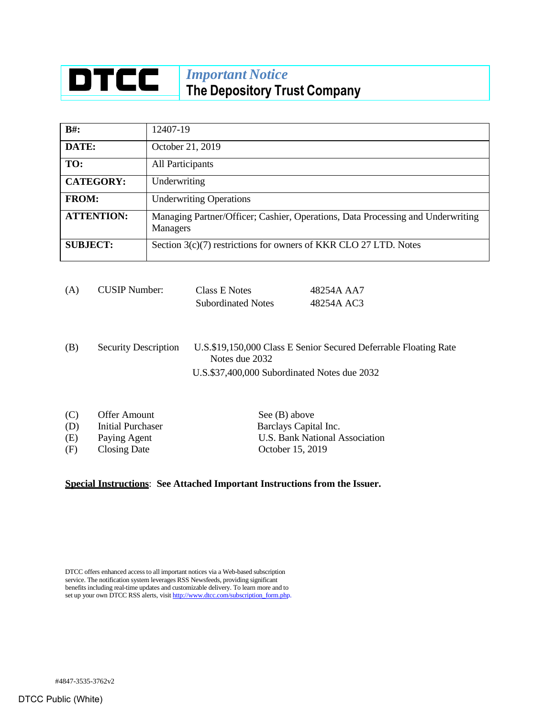## **DTCC** *Important Notice* **The Depository Trust Company**

| $B#$ :            | 12407-19                                                                                           |
|-------------------|----------------------------------------------------------------------------------------------------|
| DATE:             | October 21, 2019                                                                                   |
| TO:               | All Participants                                                                                   |
| <b>CATEGORY:</b>  | Underwriting                                                                                       |
| <b>FROM:</b>      | <b>Underwriting Operations</b>                                                                     |
| <b>ATTENTION:</b> | Managing Partner/Officer; Cashier, Operations, Data Processing and Underwriting<br><b>Managers</b> |
| <b>SUBJECT:</b>   | Section 3(c)(7) restrictions for owners of KKR CLO 27 LTD. Notes                                   |

| (A) | <b>CUSIP Number:</b> | Class E Notes             | 48254A AA7 |  |
|-----|----------------------|---------------------------|------------|--|
|     |                      | <b>Subordinated Notes</b> | 48254A AC3 |  |
|     |                      |                           |            |  |
|     |                      |                           |            |  |
|     |                      |                           |            |  |

(B) Security Description U.S.\$19,150,000 Class E Senior Secured Deferrable Floating Rate Notes due 2032 U.S.\$37,400,000 Subordinated Notes due 2032

| (C) | Offer Amount      | See (B) above                  |
|-----|-------------------|--------------------------------|
| (D) | Initial Purchaser | Barclays Capital Inc.          |
| (E) | Paying Agent      | U.S. Bank National Association |
| (F) | Closing Date      | October 15, 2019               |

## **Special Instructions**: **See Attached Important Instructions from the Issuer.**

DTCC offers enhanced access to all important notices via a Web-based subscription service. The notification system leverages RSS Newsfeeds, providing significant benefits including real-time updates and customizable delivery. To learn more and to set up your own DTCC RSS alerts, visi[t http://www.dtcc.com/subscription\\_form.php.](http://www.dtcc.com/subscription_form.php)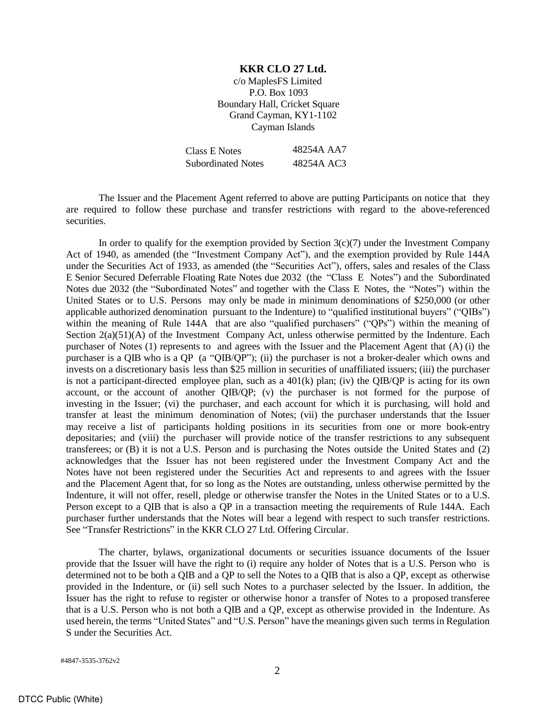## **KKR CLO 27 Ltd.**

c/o MaplesFS Limited P.O. Box 1093 Boundary Hall, Cricket Square Grand Cayman, KY1-1102 Cayman Islands

| Class E Notes             | 48254A AA7 |
|---------------------------|------------|
| <b>Subordinated Notes</b> | 48254A AC3 |

The Issuer and the Placement Agent referred to above are putting Participants on notice that they are required to follow these purchase and transfer restrictions with regard to the above-referenced securities.

In order to qualify for the exemption provided by Section  $3(c)(7)$  under the Investment Company Act of 1940, as amended (the "Investment Company Act"), and the exemption provided by Rule 144A under the Securities Act of 1933, as amended (the "Securities Act"), offers, sales and resales of the Class E Senior Secured Deferrable Floating Rate Notes due 2032 (the "Class E Notes") and the Subordinated Notes due 2032 (the "Subordinated Notes" and together with the Class E Notes, the "Notes") within the United States or to U.S. Persons may only be made in minimum denominations of \$250,000 (or other applicable authorized denomination pursuant to the Indenture) to "qualified institutional buyers" ("QIBs") within the meaning of Rule 144A that are also "qualified purchasers" ("QPs") within the meaning of Section 2(a)(51)(A) of the Investment Company Act, unless otherwise permitted by the Indenture. Each purchaser of Notes (1) represents to and agrees with the Issuer and the Placement Agent that (A) (i) the purchaser is a QIB who is a QP (a "QIB/QP"); (ii) the purchaser is not a broker-dealer which owns and invests on a discretionary basis less than \$25 million in securities of unaffiliated issuers; (iii) the purchaser is not a participant-directed employee plan, such as a  $401(k)$  plan; (iv) the QIB/QP is acting for its own account, or the account of another QIB/QP; (v) the purchaser is not formed for the purpose of investing in the Issuer; (vi) the purchaser, and each account for which it is purchasing, will hold and transfer at least the minimum denomination of Notes; (vii) the purchaser understands that the Issuer may receive a list of participants holding positions in its securities from one or more book-entry depositaries; and (viii) the purchaser will provide notice of the transfer restrictions to any subsequent transferees; or (B) it is not a U.S. Person and is purchasing the Notes outside the United States and (2) acknowledges that the Issuer has not been registered under the Investment Company Act and the Notes have not been registered under the Securities Act and represents to and agrees with the Issuer and the Placement Agent that, for so long as the Notes are outstanding, unless otherwise permitted by the Indenture, it will not offer, resell, pledge or otherwise transfer the Notes in the United States or to a U.S. Person except to a QIB that is also a QP in a transaction meeting the requirements of Rule 144A. Each purchaser further understands that the Notes will bear a legend with respect to such transfer restrictions. See "Transfer Restrictions" in the KKR CLO 27 Ltd. Offering Circular.

The charter, bylaws, organizational documents or securities issuance documents of the Issuer provide that the Issuer will have the right to (i) require any holder of Notes that is a U.S. Person who is determined not to be both a QIB and a QP to sell the Notes to a QIB that is also a QP, except as otherwise provided in the Indenture, or (ii) sell such Notes to a purchaser selected by the Issuer. In addition, the Issuer has the right to refuse to register or otherwise honor a transfer of Notes to a proposed transferee that is a U.S. Person who is not both a QIB and a QP, except as otherwise provided in the Indenture. As used herein, the terms "United States" and "U.S. Person" have the meanings given such terms in Regulation S under the Securities Act.

#4847-3535-3762v2